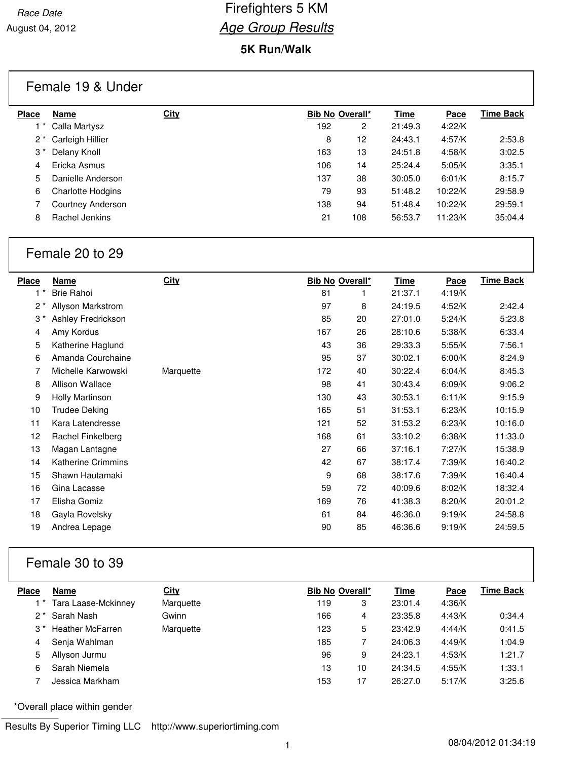### **5K Run/Walk**

## Female 19 & Under

| <b>Place</b> | Name                     | <b>City</b> |     | <b>Bib No Overall*</b> | Time    | <b>Pace</b> | Time Back |
|--------------|--------------------------|-------------|-----|------------------------|---------|-------------|-----------|
|              | Calla Martysz            |             | 192 | 2                      | 21:49.3 | 4:22/K      |           |
| 2 *          | Carleigh Hillier         |             | 8   | 12                     | 24:43.1 | 4:57/K      | 2:53.8    |
| 3 *          | Delany Knoll             |             | 163 | 13                     | 24:51.8 | 4:58/K      | 3:02.5    |
| 4            | Ericka Asmus             |             | 106 | 14                     | 25:24.4 | 5:05/K      | 3:35.1    |
| 5            | Danielle Anderson        |             | 137 | 38                     | 30:05.0 | 6:01/K      | 8:15.7    |
| 6            | <b>Charlotte Hodgins</b> |             | 79  | 93                     | 51:48.2 | 10:22/K     | 29:58.9   |
|              | Courtney Anderson        |             | 138 | 94                     | 51:48.4 | 10:22/K     | 29:59.1   |
| 8            | Rachel Jenkins           |             | 21  | 108                    | 56:53.7 | 11:23/K     | 35:04.4   |

## Female 20 to 29

| <b>Place</b> | <b>Name</b>               | <b>City</b> |     | Bib No Overall* | <u>Time</u> | <b>Pace</b> | <b>Time Back</b> |
|--------------|---------------------------|-------------|-----|-----------------|-------------|-------------|------------------|
| $1^*$        | <b>Brie Rahoi</b>         |             | 81  | 1               | 21:37.1     | 4:19/K      |                  |
| $2^*$        | Allyson Markstrom         |             | 97  | 8               | 24:19.5     | 4:52/K      | 2:42.4           |
| $3^{\star}$  | Ashley Fredrickson        |             | 85  | 20              | 27:01.0     | 5:24/K      | 5:23.8           |
| 4            | Amy Kordus                |             | 167 | 26              | 28:10.6     | 5:38/K      | 6:33.4           |
| 5            | Katherine Haglund         |             | 43  | 36              | 29:33.3     | 5:55/K      | 7:56.1           |
| 6            | Amanda Courchaine         |             | 95  | 37              | 30:02.1     | 6:00/K      | 8:24.9           |
| 7            | Michelle Karwowski        | Marquette   | 172 | 40              | 30:22.4     | 6:04/K      | 8:45.3           |
| 8            | Allison Wallace           |             | 98  | 41              | 30:43.4     | 6:09/K      | 9:06.2           |
| 9            | <b>Holly Martinson</b>    |             | 130 | 43              | 30:53.1     | 6:11/K      | 9:15.9           |
| 10           | Trudee Deking             |             | 165 | 51              | 31:53.1     | 6:23/K      | 10:15.9          |
| 11           | Kara Latendresse          |             | 121 | 52              | 31:53.2     | 6:23/K      | 10:16.0          |
| 12           | Rachel Finkelberg         |             | 168 | 61              | 33:10.2     | 6:38/K      | 11:33.0          |
| 13           | Magan Lantagne            |             | 27  | 66              | 37:16.1     | 7:27/K      | 15:38.9          |
| 14           | <b>Katherine Crimmins</b> |             | 42  | 67              | 38:17.4     | 7:39/K      | 16:40.2          |
| 15           | Shawn Hautamaki           |             | 9   | 68              | 38:17.6     | 7:39/K      | 16:40.4          |
| 16           | Gina Lacasse              |             | 59  | 72              | 40:09.6     | 8:02/K      | 18:32.4          |
| 17           | Elisha Gomiz              |             | 169 | 76              | 41:38.3     | 8:20/K      | 20:01.2          |
| 18           | Gayla Rovelsky            |             | 61  | 84              | 46:36.0     | 9:19/K      | 24:58.8          |
| 19           | Andrea Lepage             |             | 90  | 85              | 46:36.6     | 9:19/K      | 24:59.5          |

# Female 30 to 39

| <b>Place</b> | Name                    | <b>City</b> | <b>Bib No Overall*</b> |    | <b>Time</b> | Pace   | Time Back |
|--------------|-------------------------|-------------|------------------------|----|-------------|--------|-----------|
|              | Tara Laase-Mckinney     | Marquette   | 119                    | 3  | 23:01.4     | 4:36/K |           |
| $2^*$        | Sarah Nash              | Gwinn       | 166                    | 4  | 23:35.8     | 4:43/K | 0:34.4    |
| $3^{\,*}$    | <b>Heather McFarren</b> | Marquette   | 123                    | 5  | 23:42.9     | 4:44/K | 0:41.5    |
| 4            | Senja Wahlman           |             | 185                    |    | 24:06.3     | 4:49/K | 1:04.9    |
| 5            | Allyson Jurmu           |             | 96                     | 9  | 24:23.1     | 4:53/K | 1:21.7    |
| 6            | Sarah Niemela           |             | 13                     | 10 | 24:34.5     | 4:55/K | 1:33.1    |
|              | Jessica Markham         |             | 153                    | 17 | 26:27.0     | 5:17/K | 3:25.6    |
|              |                         |             |                        |    |             |        |           |

\*Overall place within gender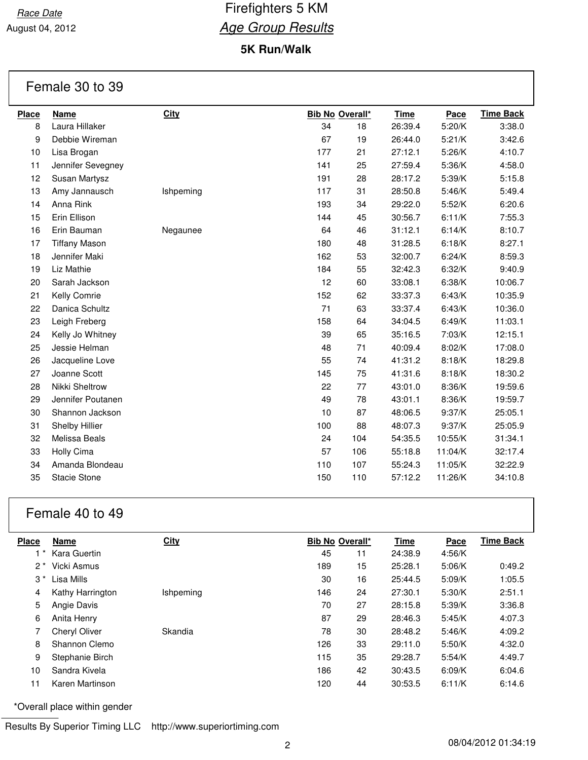August 04, 2012

## **5K Run/Walk**

## Female 30 to 39

| <b>Place</b> | <b>Name</b>          | <b>City</b> |     | <b>Bib No Overall*</b> | <b>Time</b> | Pace    | <b>Time Back</b> |
|--------------|----------------------|-------------|-----|------------------------|-------------|---------|------------------|
| 8            | Laura Hillaker       |             | 34  | 18                     | 26:39.4     | 5:20/K  | 3:38.0           |
| 9            | Debbie Wireman       |             | 67  | 19                     | 26:44.0     | 5:21/K  | 3:42.6           |
| 10           | Lisa Brogan          |             | 177 | 21                     | 27:12.1     | 5:26/K  | 4:10.7           |
| 11           | Jennifer Sevegney    |             | 141 | 25                     | 27:59.4     | 5:36/K  | 4:58.0           |
| 12           | Susan Martysz        |             | 191 | 28                     | 28:17.2     | 5:39/K  | 5:15.8           |
| 13           | Amy Jannausch        | Ishpeming   | 117 | 31                     | 28:50.8     | 5:46/K  | 5:49.4           |
| 14           | Anna Rink            |             | 193 | 34                     | 29:22.0     | 5:52/K  | 6:20.6           |
| 15           | Erin Ellison         |             | 144 | 45                     | 30:56.7     | 6:11/K  | 7:55.3           |
| 16           | Erin Bauman          | Negaunee    | 64  | 46                     | 31:12.1     | 6:14/K  | 8:10.7           |
| 17           | <b>Tiffany Mason</b> |             | 180 | 48                     | 31:28.5     | 6:18/K  | 8:27.1           |
| 18           | Jennifer Maki        |             | 162 | 53                     | 32:00.7     | 6:24/K  | 8:59.3           |
| 19           | Liz Mathie           |             | 184 | 55                     | 32:42.3     | 6:32/K  | 9:40.9           |
| 20           | Sarah Jackson        |             | 12  | 60                     | 33:08.1     | 6:38/K  | 10:06.7          |
| 21           | Kelly Comrie         |             | 152 | 62                     | 33:37.3     | 6:43/K  | 10:35.9          |
| 22           | Danica Schultz       |             | 71  | 63                     | 33:37.4     | 6:43/K  | 10:36.0          |
| 23           | Leigh Freberg        |             | 158 | 64                     | 34:04.5     | 6:49/K  | 11:03.1          |
| 24           | Kelly Jo Whitney     |             | 39  | 65                     | 35:16.5     | 7:03/K  | 12:15.1          |
| 25           | Jessie Helman        |             | 48  | 71                     | 40:09.4     | 8:02/K  | 17:08.0          |
| 26           | Jacqueline Love      |             | 55  | 74                     | 41:31.2     | 8:18/K  | 18:29.8          |
| 27           | Joanne Scott         |             | 145 | 75                     | 41:31.6     | 8:18/K  | 18:30.2          |
| 28           | Nikki Sheltrow       |             | 22  | 77                     | 43:01.0     | 8:36/K  | 19:59.6          |
| 29           | Jennifer Poutanen    |             | 49  | 78                     | 43:01.1     | 8:36/K  | 19:59.7          |
| 30           | Shannon Jackson      |             | 10  | 87                     | 48:06.5     | 9:37/K  | 25:05.1          |
| 31           | Shelby Hillier       |             | 100 | 88                     | 48:07.3     | 9:37/K  | 25:05.9          |
| 32           | Melissa Beals        |             | 24  | 104                    | 54:35.5     | 10:55/K | 31:34.1          |
| 33           | Holly Cima           |             | 57  | 106                    | 55:18.8     | 11:04/K | 32:17.4          |
| 34           | Amanda Blondeau      |             | 110 | 107                    | 55:24.3     | 11:05/K | 32:22.9          |
| 35           | <b>Stacie Stone</b>  |             | 150 | 110                    | 57:12.2     | 11:26/K | 34:10.8          |
|              |                      |             |     |                        |             |         |                  |

## Female 40 to 49

| <b>Place</b> | <b>Name</b>      | <b>City</b> |     | <b>Bib No Overall*</b> | <b>Time</b> | Pace   | <b>Time Back</b> |
|--------------|------------------|-------------|-----|------------------------|-------------|--------|------------------|
|              | Kara Guertin     |             | 45  | 11                     | 24:38.9     | 4:56/K |                  |
| 2 *          | Vicki Asmus      |             | 189 | 15                     | 25:28.1     | 5:06/K | 0:49.2           |
| 3 *          | Lisa Mills       |             | 30  | 16                     | 25:44.5     | 5:09/K | 1:05.5           |
| 4            | Kathy Harrington | Ishpeming   | 146 | 24                     | 27:30.1     | 5:30/K | 2:51.1           |
| 5            | Angie Davis      |             | 70  | 27                     | 28:15.8     | 5:39/K | 3:36.8           |
| 6            | Anita Henry      |             | 87  | 29                     | 28:46.3     | 5:45/K | 4:07.3           |
|              | Cheryl Oliver    | Skandia     | 78  | 30                     | 28:48.2     | 5:46/K | 4:09.2           |
| 8            | Shannon Clemo    |             | 126 | 33                     | 29:11.0     | 5:50/K | 4:32.0           |
| 9            | Stephanie Birch  |             | 115 | 35                     | 29:28.7     | 5:54/K | 4:49.7           |
| 10           | Sandra Kivela    |             | 186 | 42                     | 30:43.5     | 6:09/K | 6:04.6           |
| 11           | Karen Martinson  |             | 120 | 44                     | 30:53.5     | 6:11/K | 6:14.6           |

\*Overall place within gender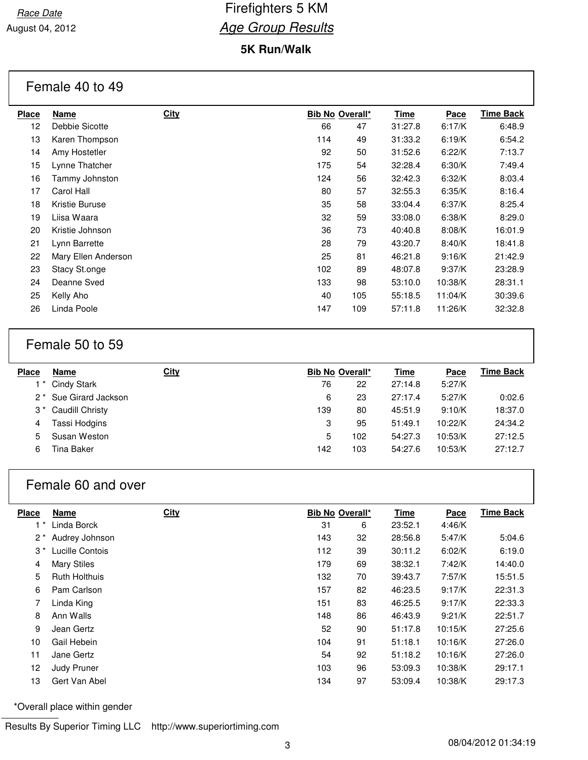### **5K Run/Walk**

#### Female 40 to 49

| Name                | <b>City</b> |     |     | <b>Time</b>     | Pace    | <b>Time Back</b> |
|---------------------|-------------|-----|-----|-----------------|---------|------------------|
| Debbie Sicotte      |             | 66  | 47  | 31:27.8         | 6:17/K  | 6:48.9           |
| Karen Thompson      |             | 114 | 49  | 31:33.2         | 6:19/K  | 6:54.2           |
| Amy Hostetler       |             | 92  | 50  | 31:52.6         | 6:22/K  | 7:13.7           |
| Lynne Thatcher      |             | 175 | 54  | 32:28.4         | 6:30/K  | 7:49.4           |
| Tammy Johnston      |             | 124 | 56  | 32:42.3         | 6:32/K  | 8:03.4           |
| Carol Hall          |             | 80  | 57  | 32:55.3         | 6:35/K  | 8:16.4           |
| Kristie Buruse      |             | 35  | 58  | 33:04.4         | 6:37/K  | 8:25.4           |
| Liisa Waara         |             | 32  | 59  | 33:08.0         | 6:38/K  | 8:29.0           |
| Kristie Johnson     |             | 36  | 73  | 40:40.8         | 8:08/K  | 16:01.9          |
| Lynn Barrette       |             | 28  | 79  | 43:20.7         | 8:40/K  | 18:41.8          |
| Mary Ellen Anderson |             | 25  | 81  | 46:21.8         | 9:16/K  | 21:42.9          |
| Stacy St.onge       |             | 102 | 89  | 48:07.8         | 9:37/K  | 23:28.9          |
| Deanne Sved         |             | 133 | 98  | 53:10.0         | 10:38/K | 28:31.1          |
| Kelly Aho           |             | 40  | 105 | 55:18.5         | 11:04/K | 30:39.6          |
| Linda Poole         |             | 147 | 109 | 57:11.8         | 11:26/K | 32:32.8          |
|                     |             |     |     | Bib No Overall* |         |                  |

## Female 50 to 59

| <b>Place</b> | Name                              | <b>City</b> |     | <b>Bib No Overall*</b> | <b>Time</b> | Pace    | <b>Time Back</b> |
|--------------|-----------------------------------|-------------|-----|------------------------|-------------|---------|------------------|
|              | 1 <sup>*</sup> Cindy Stark        |             | 76  | 22                     | 27:14.8     | 5:27/K  |                  |
|              | 2 <sup>*</sup> Sue Girard Jackson |             | 6   | 23                     | 27:17.4     | 5:27/K  | 0:02.6           |
|              | 3 <sup>*</sup> Caudill Christy    |             | 139 | 80                     | 45:51.9     | 9:10/K  | 18:37.0          |
| 4            | Tassi Hodgins                     |             | 3   | 95                     | 51:49.1     | 10:22/K | 24:34.2          |
| 5            | Susan Weston                      |             | 5   | 102                    | 54:27.3     | 10:53/K | 27:12.5          |
| 6            | Tina Baker                        |             | 142 | 103                    | 54:27.6     | 10:53/K | 27:12.7          |
|              |                                   |             |     |                        |             |         |                  |

### Female 60 and over

| Place     | <b>Name</b>          | <b>City</b> |     | <b>Bib No Overall*</b> | <b>Time</b> | Pace    | <b>Time Back</b> |
|-----------|----------------------|-------------|-----|------------------------|-------------|---------|------------------|
| 1 *       | Linda Borck          |             | 31  | 6                      | 23:52.1     | 4:46/K  |                  |
| $2^*$     | Audrey Johnson       |             | 143 | 32                     | 28:56.8     | 5:47/K  | 5:04.6           |
| $3^{\,*}$ | Lucille Contois      |             | 112 | 39                     | 30:11.2     | 6:02/K  | 6:19.0           |
| 4         | <b>Mary Stiles</b>   |             | 179 | 69                     | 38:32.1     | 7:42/K  | 14:40.0          |
| 5         | <b>Ruth Holthuis</b> |             | 132 | 70                     | 39:43.7     | 7:57/K  | 15:51.5          |
| 6         | Pam Carlson          |             | 157 | 82                     | 46:23.5     | 9:17/K  | 22:31.3          |
| 7         | Linda King           |             | 151 | 83                     | 46:25.5     | 9:17/K  | 22:33.3          |
| 8         | Ann Walls            |             | 148 | 86                     | 46:43.9     | 9:21/K  | 22:51.7          |
| 9         | Jean Gertz           |             | 52  | 90                     | 51:17.8     | 10:15/K | 27:25.6          |
| 10        | Gail Hebein          |             | 104 | 91                     | 51:18.1     | 10:16/K | 27:26.0          |
| 11        | Jane Gertz           |             | 54  | 92                     | 51:18.2     | 10:16/K | 27:26.0          |
| 12        | Judy Pruner          |             | 103 | 96                     | 53:09.3     | 10:38/K | 29:17.1          |
| 13        | Gert Van Abel        |             | 134 | 97                     | 53:09.4     | 10:38/K | 29:17.3          |

\*Overall place within gender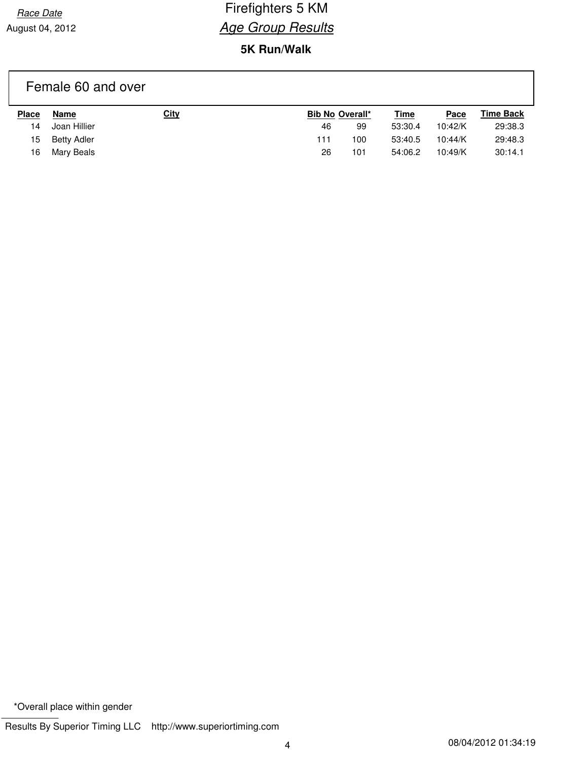August 04, 2012

# Race Date **Firefighters 5 KM Age Group Results**

## **5K Run/Walk**

# Female 60 and over

| <b>Place</b> | Name         | <b>City</b> |     | <b>Bib No Overall*</b> | <b>Time</b> | Pace    | <b>Time Back</b> |
|--------------|--------------|-------------|-----|------------------------|-------------|---------|------------------|
| 14           | Joan Hillier |             | 46  | 99                     | 53:30.4     | 10:42/K | 29:38.3          |
| 15           | Betty Adler  |             | 111 | $100 -$                | 53:40.5     | 10:44/K | 29:48.3          |
| 16           | Mary Beals   |             | 26  | 101                    | 54:06.2     | 10:49/K | 30:14.1          |

\*Overall place within gender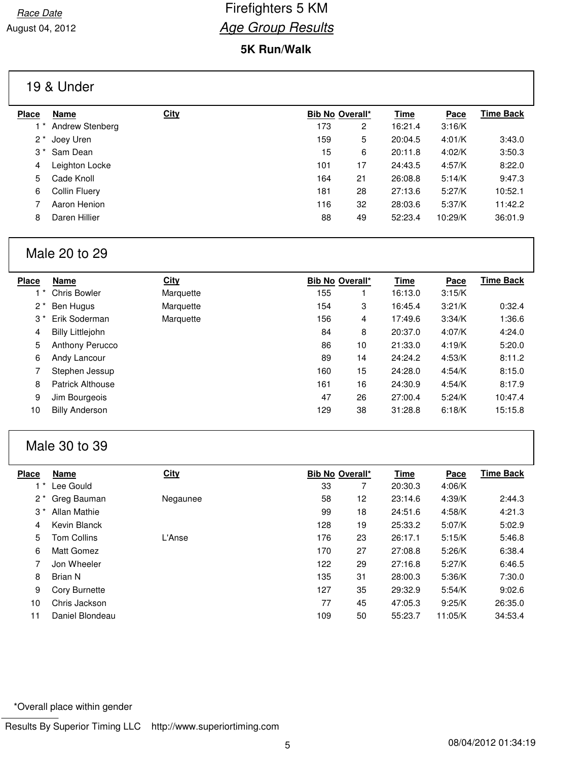### **5K Run/Walk**

### 19 & Under

| <b>Place</b> | Name                    | <b>City</b> |     | <b>Bib No Overall*</b> | <b>Time</b> | Pace    | Time Back |
|--------------|-------------------------|-------------|-----|------------------------|-------------|---------|-----------|
|              | Andrew Stenberg         |             | 173 | 2                      | 16:21.4     | 3:16/K  |           |
| $2^*$        | Joey Uren               |             | 159 | 5                      | 20:04.5     | 4:01/K  | 3:43.0    |
|              | 3 <sup>*</sup> Sam Dean |             | 15  | 6                      | 20:11.8     | 4:02/K  | 3:50.3    |
| 4            | Leighton Locke          |             | 101 | 17                     | 24:43.5     | 4:57/K  | 8:22.0    |
| 5            | Cade Knoll              |             | 164 | 21                     | 26:08.8     | 5:14/K  | 9:47.3    |
| 6            | Collin Fluery           |             | 181 | 28                     | 27:13.6     | 5:27/K  | 10:52.1   |
|              | Aaron Henion            |             | 116 | 32                     | 28:03.6     | 5:37/K  | 11:42.2   |
| 8            | Daren Hillier           |             | 88  | 49                     | 52:23.4     | 10:29/K | 36:01.9   |

## Male 20 to 29

| <b>Place</b> | Name                    | <b>City</b> |     | <b>Bib No Overall*</b> | <b>Time</b> | Pace   | <b>Time Back</b> |
|--------------|-------------------------|-------------|-----|------------------------|-------------|--------|------------------|
|              | <b>Chris Bowler</b>     | Marquette   | 155 |                        | 16:13.0     | 3:15/K |                  |
| $2^*$        | Ben Hugus               | Marquette   | 154 | 3                      | 16:45.4     | 3:21/K | 0:32.4           |
| $3*$         | Erik Soderman           | Marquette   | 156 | 4                      | 17:49.6     | 3:34/K | 1:36.6           |
| 4            | <b>Billy Littlejohn</b> |             | 84  | 8                      | 20:37.0     | 4:07/K | 4:24.0           |
| 5            | Anthony Perucco         |             | 86  | 10                     | 21:33.0     | 4:19/K | 5:20.0           |
| 6            | Andy Lancour            |             | 89  | 14                     | 24:24.2     | 4:53/K | 8:11.2           |
|              | Stephen Jessup          |             | 160 | 15                     | 24:28.0     | 4:54/K | 8:15.0           |
| 8            | Patrick Althouse        |             | 161 | 16                     | 24:30.9     | 4:54/K | 8:17.9           |
| 9            | Jim Bourgeois           |             | 47  | 26                     | 27:00.4     | 5:24/K | 10:47.4          |
| 10           | <b>Billy Anderson</b>   |             | 129 | 38                     | 31:28.8     | 6:18/K | 15:15.8          |

## Male 30 to 39

| <b>Place</b> | <b>Name</b>         | <b>City</b> |     | <b>Bib No Overall*</b> | <b>Time</b> | Pace    | <b>Time Back</b> |
|--------------|---------------------|-------------|-----|------------------------|-------------|---------|------------------|
|              | Lee Gould           |             | 33  |                        | 20:30.3     | 4:06/K  |                  |
| $2^{\star}$  | Greg Bauman         | Negaunee    | 58  | 12                     | 23:14.6     | 4:39/K  | 2:44.3           |
| $3^{\star}$  | <b>Allan Mathie</b> |             | 99  | 18                     | 24:51.6     | 4:58/K  | 4:21.3           |
| 4            | Kevin Blanck        |             | 128 | 19                     | 25:33.2     | 5:07/K  | 5:02.9           |
| 5            | <b>Tom Collins</b>  | L'Anse      | 176 | 23                     | 26:17.1     | 5:15/K  | 5:46.8           |
| 6            | Matt Gomez          |             | 170 | 27                     | 27:08.8     | 5:26/K  | 6:38.4           |
|              | Jon Wheeler         |             | 122 | 29                     | 27:16.8     | 5:27/K  | 6:46.5           |
| 8            | Brian N             |             | 135 | 31                     | 28:00.3     | 5:36/K  | 7:30.0           |
| 9            | Cory Burnette       |             | 127 | 35                     | 29:32.9     | 5:54/K  | 9:02.6           |
| 10           | Chris Jackson       |             | 77  | 45                     | 47:05.3     | 9:25/K  | 26:35.0          |
| 11           | Daniel Blondeau     |             | 109 | 50                     | 55:23.7     | 11:05/K | 34:53.4          |

\*Overall place within gender